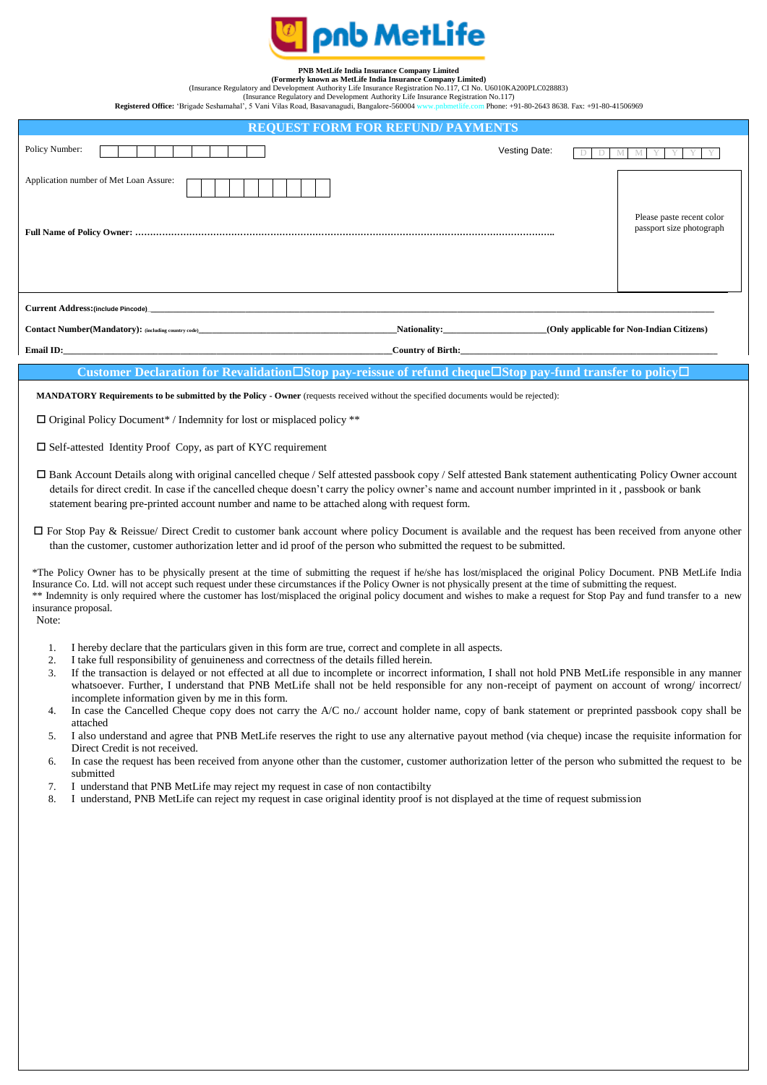

## **PNB MetLife India Insurance Company Limited**

**(Formerly known as MetLife India Insurance Company Limited)**

(Insurance Regulatory and Development Authority Life Insurance Registration No.117, CI No. U6010KA200PLC028883) (Insurance Regulatory and Development Authority Life Insurance Registration No.117)

**Registered Office:** 'Brigade Seshamahal', 5 Vani Vilas Road, Basavanagudi, Bangalore-560004 www.pnbmetlife.com Phone: +91-80-2643 8638. Fax: +91-80-41506969

| <b>REQUEST FORM FOR REFUND/ PAYMENTS</b>                                                                                                                                                                                      |               |                                                       |
|-------------------------------------------------------------------------------------------------------------------------------------------------------------------------------------------------------------------------------|---------------|-------------------------------------------------------|
| Policy Number:                                                                                                                                                                                                                | Vesting Date: |                                                       |
| Application number of Met Loan Assure:                                                                                                                                                                                        |               | Please paste recent color<br>passport size photograph |
|                                                                                                                                                                                                                               |               |                                                       |
| Nationality:<br><b>Contact Number (Mandatory):</b> (including country code)<br>(Only applicable for Non-Indian Citizens)                                                                                                      |               |                                                       |
| Email ID: The contract of the contract of the contract of the contract of the contract of the contract of the contract of the contract of the contract of the contract of the contract of the contract of the contract of the |               |                                                       |
| Customer Declaration for Revalidation $\Box$ Stop pay-reissue of refund cheque $\Box$ Stop pay-fund transfer to policy $\Box$                                                                                                 |               |                                                       |
| <b>MANDATORY Requirements to be submitted by the Policy - Owner</b> (requests received without the specified documents would be rejected):                                                                                    |               |                                                       |
| $\Box$ Original Policy Document* / Indemnity for lost or misplaced policy **                                                                                                                                                  |               |                                                       |
| $\Box$ Self-attested Identity Proof Copy, as part of KYC requirement                                                                                                                                                          |               |                                                       |

- Bank Account Details along with original cancelled cheque / Self attested passbook copy / Self attested Bank statement authenticating Policy Owner account details for direct credit. In case if the cancelled cheque doesn't carry the policy owner's name and account number imprinted in it , passbook or bank statement bearing pre-printed account number and name to be attached along with request form.
- $\Box$  For Stop Pay & Reissue/ Direct Credit to customer bank account where policy Document is available and the request has been received from anyone other than the customer, customer authorization letter and id proof of the person who submitted the request to be submitted.

\*The Policy Owner has to be physically present at the time of submitting the request if he/she has lost/misplaced the original Policy Document. PNB MetLife India Insurance Co. Ltd. will not accept such request under these circumstances if the Policy Owner is not physically present at the time of submitting the request. \*\* Indemnity is only required where the customer has lost/misplaced the original policy document and wishes to make a request for Stop Pay and fund transfer to a new insurance proposal.

- Note:
	- 1. I hereby declare that the particulars given in this form are true, correct and complete in all aspects.
	- 2. I take full responsibility of genuineness and correctness of the details filled herein.
	- 3. If the transaction is delayed or not effected at all due to incomplete or incorrect information, I shall not hold PNB MetLife responsible in any manner whatsoever. Further, I understand that PNB MetLife shall not be held responsible for any non-receipt of payment on account of wrong/ incorrect/ incomplete information given by me in this form.
	- 4. In case the Cancelled Cheque copy does not carry the A/C no./ account holder name, copy of bank statement or preprinted passbook copy shall be attached
	- 5. I also understand and agree that PNB MetLife reserves the right to use any alternative payout method (via cheque) incase the requisite information for Direct Credit is not received.
	- 6. In case the request has been received from anyone other than the customer, customer authorization letter of the person who submitted the request to be submitted
	- 7. I understand that PNB MetLife may reject my request in case of non contactibilty
	- 8. I understand, PNB MetLife can reject my request in case original identity proof is not displayed at the time of request submission